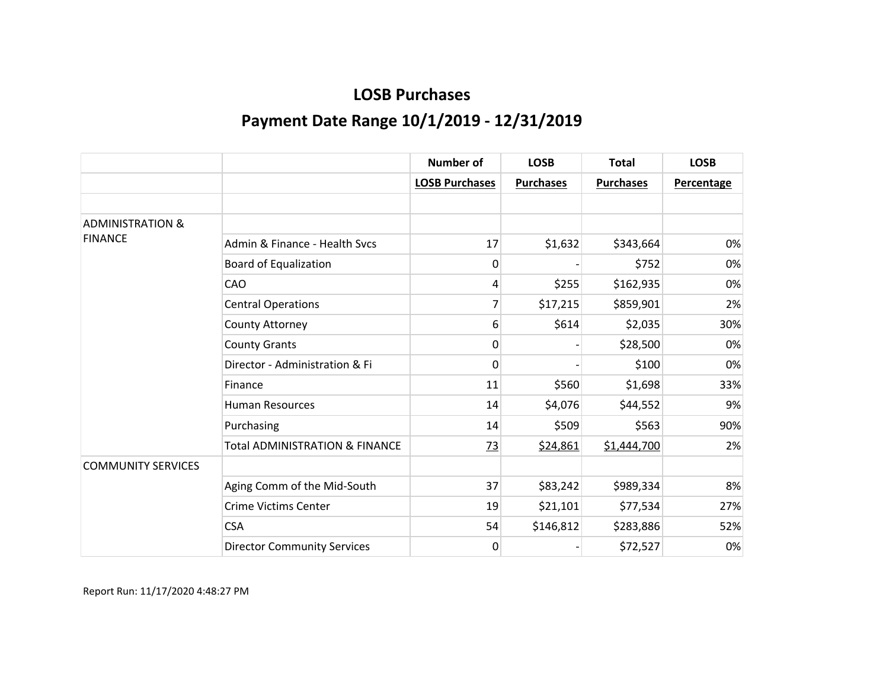|                             |                                           | <b>Number of</b>      | <b>LOSB</b>      | <b>Total</b>     | <b>LOSB</b>       |
|-----------------------------|-------------------------------------------|-----------------------|------------------|------------------|-------------------|
|                             |                                           | <b>LOSB Purchases</b> | <b>Purchases</b> | <b>Purchases</b> | <b>Percentage</b> |
|                             |                                           |                       |                  |                  |                   |
| <b>ADMINISTRATION &amp;</b> |                                           |                       |                  |                  |                   |
| <b>FINANCE</b>              | Admin & Finance - Health Sycs             | 17                    | \$1,632          | \$343,664        | 0%                |
|                             | <b>Board of Equalization</b>              | 0                     |                  | \$752            | 0%                |
|                             | CAO                                       | 4                     | \$255            | \$162,935        | 0%                |
|                             | <b>Central Operations</b>                 | 7                     | \$17,215         | \$859,901        | 2%                |
|                             | County Attorney                           | 6                     | \$614            | \$2,035          | 30%               |
|                             | <b>County Grants</b>                      | 0                     |                  | \$28,500         | 0%                |
|                             | Director - Administration & Fi            | 0                     |                  | \$100            | 0%                |
|                             | Finance                                   | 11                    | \$560            | \$1,698          | 33%               |
|                             | <b>Human Resources</b>                    | 14                    | \$4,076          | \$44,552         | 9%                |
|                             | Purchasing                                | 14                    | \$509            | \$563            | 90%               |
|                             | <b>Total ADMINISTRATION &amp; FINANCE</b> | 73                    | \$24,861         | \$1,444,700      | 2%                |
| <b>COMMUNITY SERVICES</b>   |                                           |                       |                  |                  |                   |
|                             | Aging Comm of the Mid-South               | 37                    | \$83,242         | \$989,334        | 8%                |
|                             | <b>Crime Victims Center</b>               | 19                    | \$21,101         | \$77,534         | 27%               |
|                             | <b>CSA</b>                                | 54                    | \$146,812        | \$283,886        | 52%               |
|                             | <b>Director Community Services</b>        | 0                     |                  | \$72,527         | 0%                |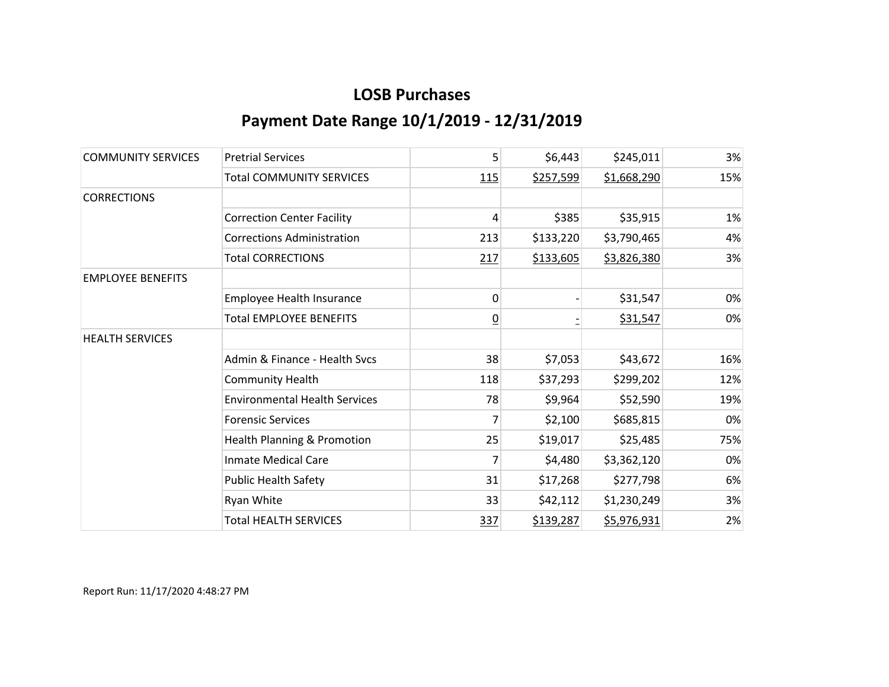| <b>COMMUNITY SERVICES</b> | <b>Pretrial Services</b>             | 5              | \$6,443   | \$245,011   | 3%  |
|---------------------------|--------------------------------------|----------------|-----------|-------------|-----|
|                           | <b>Total COMMUNITY SERVICES</b>      | 115            | \$257,599 | \$1,668,290 | 15% |
| <b>CORRECTIONS</b>        |                                      |                |           |             |     |
|                           | <b>Correction Center Facility</b>    | 4              | \$385     | \$35,915    | 1%  |
|                           | <b>Corrections Administration</b>    | 213            | \$133,220 | \$3,790,465 | 4%  |
|                           | <b>Total CORRECTIONS</b>             | 217            | \$133,605 | \$3,826,380 | 3%  |
| <b>EMPLOYEE BENEFITS</b>  |                                      |                |           |             |     |
|                           | Employee Health Insurance            | 0              |           | \$31,547    | 0%  |
|                           | <b>Total EMPLOYEE BENEFITS</b>       | $\overline{0}$ |           | \$31,547    | 0%  |
| <b>HEALTH SERVICES</b>    |                                      |                |           |             |     |
|                           | Admin & Finance - Health Svcs        | 38             | \$7,053   | \$43,672    | 16% |
|                           | <b>Community Health</b>              | 118            | \$37,293  | \$299,202   | 12% |
|                           | <b>Environmental Health Services</b> | 78             | \$9,964   | \$52,590    | 19% |
|                           | <b>Forensic Services</b>             | 7              | \$2,100   | \$685,815   | 0%  |
|                           | Health Planning & Promotion          | 25             | \$19,017  | \$25,485    | 75% |
|                           | <b>Inmate Medical Care</b>           | 7              | \$4,480   | \$3,362,120 | 0%  |
|                           | <b>Public Health Safety</b>          | 31             | \$17,268  | \$277,798   | 6%  |
|                           | Ryan White                           | 33             | \$42,112  | \$1,230,249 | 3%  |
|                           | <b>Total HEALTH SERVICES</b>         | 337            | \$139,287 | \$5,976,931 | 2%  |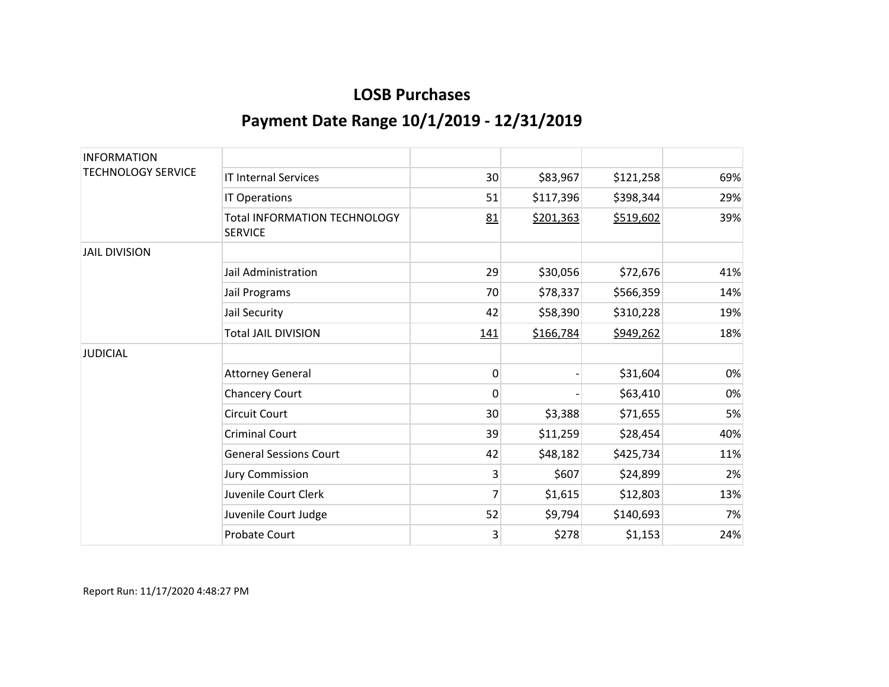| <b>INFORMATION</b>        |                                                       |     |           |           |     |
|---------------------------|-------------------------------------------------------|-----|-----------|-----------|-----|
| <b>TECHNOLOGY SERVICE</b> | <b>IT Internal Services</b>                           | 30  | \$83,967  | \$121,258 | 69% |
|                           | IT Operations                                         | 51  | \$117,396 | \$398,344 | 29% |
|                           | <b>Total INFORMATION TECHNOLOGY</b><br><b>SERVICE</b> | 81  | \$201,363 | \$519,602 | 39% |
| <b>JAIL DIVISION</b>      |                                                       |     |           |           |     |
|                           | Jail Administration                                   | 29  | \$30,056  | \$72,676  | 41% |
|                           | Jail Programs                                         | 70  | \$78,337  | \$566,359 | 14% |
|                           | Jail Security                                         | 42  | \$58,390  | \$310,228 | 19% |
|                           | <b>Total JAIL DIVISION</b>                            | 141 | \$166,784 | \$949,262 | 18% |
| <b>JUDICIAL</b>           |                                                       |     |           |           |     |
|                           | <b>Attorney General</b>                               | 0   |           | \$31,604  | 0%  |
|                           | <b>Chancery Court</b>                                 | 0   |           | \$63,410  | 0%  |
|                           | <b>Circuit Court</b>                                  | 30  | \$3,388   | \$71,655  | 5%  |
|                           | <b>Criminal Court</b>                                 | 39  | \$11,259  | \$28,454  | 40% |
|                           | <b>General Sessions Court</b>                         | 42  | \$48,182  | \$425,734 | 11% |
|                           | <b>Jury Commission</b>                                | 3   | \$607     | \$24,899  | 2%  |
|                           | Juvenile Court Clerk                                  | 7   | \$1,615   | \$12,803  | 13% |
|                           | Juvenile Court Judge                                  | 52  | \$9,794   | \$140,693 | 7%  |
|                           | <b>Probate Court</b>                                  | 3   | \$278     | \$1,153   | 24% |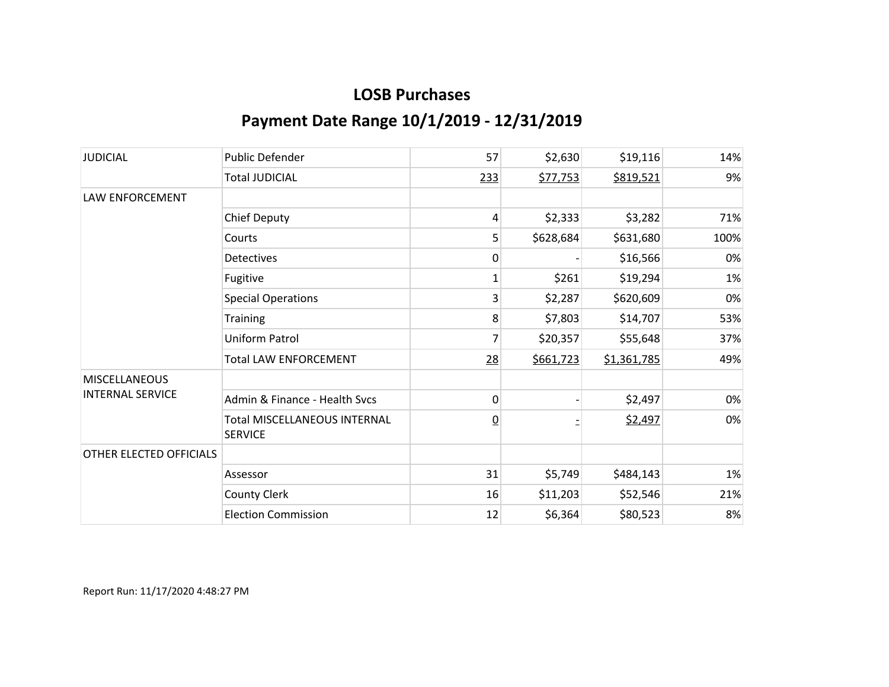| <b>JUDICIAL</b>                                 | <b>Public Defender</b>                                | 57             | \$2,630   | \$19,116    | 14%  |
|-------------------------------------------------|-------------------------------------------------------|----------------|-----------|-------------|------|
|                                                 | <b>Total JUDICIAL</b>                                 | 233            | \$77,753  | \$819,521   | 9%   |
| LAW ENFORCEMENT                                 |                                                       |                |           |             |      |
|                                                 | <b>Chief Deputy</b>                                   | 4              | \$2,333   | \$3,282     | 71%  |
|                                                 | Courts                                                | 5              | \$628,684 | \$631,680   | 100% |
|                                                 | <b>Detectives</b>                                     | 0              |           | \$16,566    | 0%   |
|                                                 | Fugitive                                              | 1              | \$261     | \$19,294    | 1%   |
|                                                 | <b>Special Operations</b>                             | 3              | \$2,287   | \$620,609   | 0%   |
|                                                 | <b>Training</b>                                       | 8              | \$7,803   | \$14,707    | 53%  |
|                                                 | <b>Uniform Patrol</b>                                 | 7              | \$20,357  | \$55,648    | 37%  |
|                                                 | <b>Total LAW ENFORCEMENT</b>                          | 28             | \$661,723 | \$1,361,785 | 49%  |
| <b>MISCELLANEOUS</b><br><b>INTERNAL SERVICE</b> |                                                       |                |           |             |      |
|                                                 | Admin & Finance - Health Svcs                         | 0              |           | \$2,497     | 0%   |
|                                                 | <b>Total MISCELLANEOUS INTERNAL</b><br><b>SERVICE</b> | $\overline{0}$ |           | \$2,497     | 0%   |
| OTHER ELECTED OFFICIALS                         |                                                       |                |           |             |      |
|                                                 | Assessor                                              | 31             | \$5,749   | \$484,143   | 1%   |
|                                                 | County Clerk                                          | 16             | \$11,203  | \$52,546    | 21%  |
|                                                 | <b>Election Commission</b>                            | 12             | \$6,364   | \$80,523    | 8%   |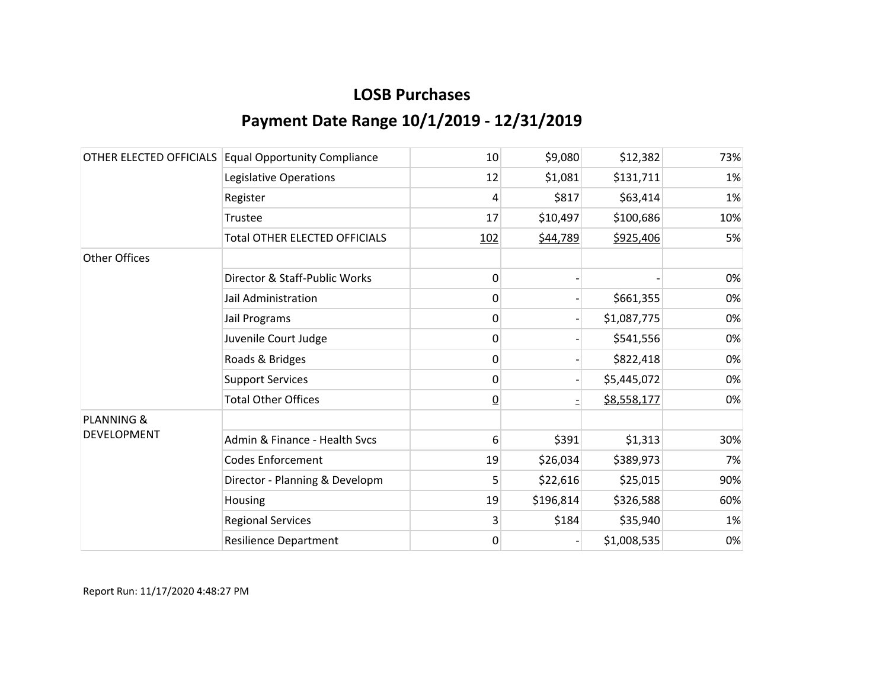|                       | OTHER ELECTED OFFICIALS Equal Opportunity Compliance | 10             | \$9,080   | \$12,382    | 73% |
|-----------------------|------------------------------------------------------|----------------|-----------|-------------|-----|
|                       | Legislative Operations                               | 12             | \$1,081   | \$131,711   | 1%  |
|                       | Register                                             | 4              | \$817     | \$63,414    | 1%  |
|                       | Trustee                                              | 17             | \$10,497  | \$100,686   | 10% |
|                       | <b>Total OTHER ELECTED OFFICIALS</b>                 | 102            | \$44,789  | \$925,406   | 5%  |
| Other Offices         |                                                      |                |           |             |     |
|                       | Director & Staff-Public Works                        | 0              |           |             | 0%  |
|                       | Jail Administration                                  | 0              |           | \$661,355   | 0%  |
|                       | Jail Programs                                        | 0              |           | \$1,087,775 | 0%  |
|                       | Juvenile Court Judge                                 | 0              |           | \$541,556   | 0%  |
|                       | Roads & Bridges                                      | 0              |           | \$822,418   | 0%  |
|                       | <b>Support Services</b>                              | 0              |           | \$5,445,072 | 0%  |
|                       | <b>Total Other Offices</b>                           | $\overline{0}$ |           | \$8,558,177 | 0%  |
| <b>PLANNING &amp;</b> |                                                      |                |           |             |     |
| <b>DEVELOPMENT</b>    | Admin & Finance - Health Sycs                        | 6              | \$391     | \$1,313     | 30% |
|                       | <b>Codes Enforcement</b>                             | 19             | \$26,034  | \$389,973   | 7%  |
|                       | Director - Planning & Developm                       | 5              | \$22,616  | \$25,015    | 90% |
|                       | Housing                                              | 19             | \$196,814 | \$326,588   | 60% |
|                       | <b>Regional Services</b>                             | 3              | \$184     | \$35,940    | 1%  |
|                       | <b>Resilience Department</b>                         | 0              |           | \$1,008,535 | 0%  |